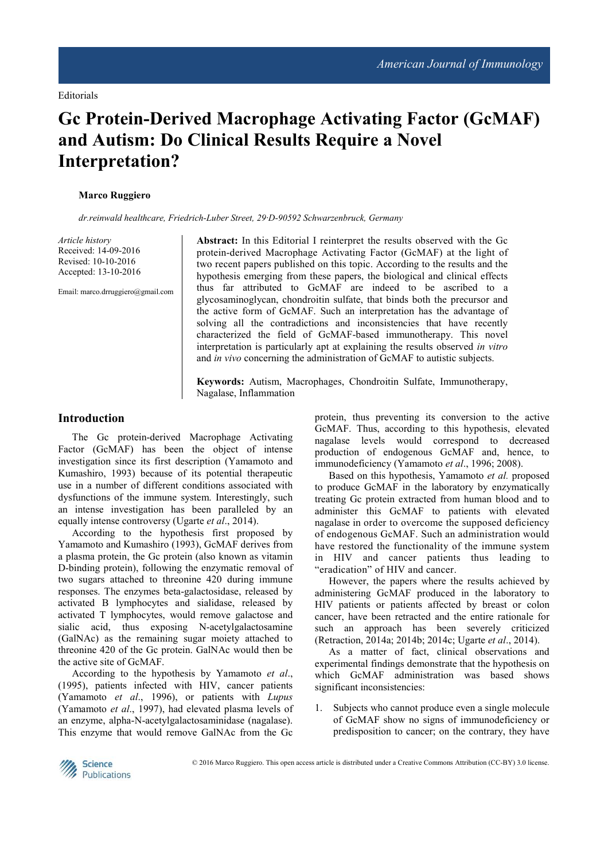# **Gc Protein-Derived Macrophage Activating Factor (GcMAF) and Autism: Do Clinical Results Require a Novel Interpretation?**

#### **Marco Ruggiero**

*dr.reinwald healthcare, Friedrich-Luber Street, 29·D-90592 Schwarzenbruck, Germany* 

*Article history*  Received: 14-09-2016 Revised: 10-10-2016 Accepted: 13-10-2016

Email: marco.drruggiero@gmail.com

**Abstract:** In this Editorial I reinterpret the results observed with the Gc protein-derived Macrophage Activating Factor (GcMAF) at the light of two recent papers published on this topic. According to the results and the hypothesis emerging from these papers, the biological and clinical effects thus far attributed to GcMAF are indeed to be ascribed to a glycosaminoglycan, chondroitin sulfate, that binds both the precursor and the active form of GcMAF. Such an interpretation has the advantage of solving all the contradictions and inconsistencies that have recently characterized the field of GcMAF-based immunotherapy. This novel interpretation is particularly apt at explaining the results observed *in vitro* and *in vivo* concerning the administration of GcMAF to autistic subjects.

**Keywords:** Autism, Macrophages, Chondroitin Sulfate, Immunotherapy, Nagalase, Inflammation

#### **Introduction**

The Gc protein-derived Macrophage Activating Factor (GcMAF) has been the object of intense investigation since its first description (Yamamoto and Kumashiro, 1993) because of its potential therapeutic use in a number of different conditions associated with dysfunctions of the immune system. Interestingly, such an intense investigation has been paralleled by an equally intense controversy (Ugarte *et al*., 2014).

According to the hypothesis first proposed by Yamamoto and Kumashiro (1993), GcMAF derives from a plasma protein, the Gc protein (also known as vitamin D-binding protein), following the enzymatic removal of two sugars attached to threonine 420 during immune responses. The enzymes beta-galactosidase, released by activated B lymphocytes and sialidase, released by activated T lymphocytes, would remove galactose and sialic acid, thus exposing N-acetylgalactosamine (GalNAc) as the remaining sugar moiety attached to threonine 420 of the Gc protein. GalNAc would then be the active site of GcMAF.

According to the hypothesis by Yamamoto *et al*., (1995), patients infected with HIV, cancer patients (Yamamoto *et al*., 1996), or patients with *Lupus* (Yamamoto *et al*., 1997), had elevated plasma levels of an enzyme, alpha-N-acetylgalactosaminidase (nagalase). This enzyme that would remove GalNAc from the Gc protein, thus preventing its conversion to the active GcMAF. Thus, according to this hypothesis, elevated nagalase levels would correspond to decreased production of endogenous GcMAF and, hence, to immunodeficiency (Yamamoto *et al*., 1996; 2008).

Based on this hypothesis, Yamamoto *et al.* proposed to produce GcMAF in the laboratory by enzymatically treating Gc protein extracted from human blood and to administer this GcMAF to patients with elevated nagalase in order to overcome the supposed deficiency of endogenous GcMAF. Such an administration would have restored the functionality of the immune system in HIV and cancer patients thus leading to "eradication" of HIV and cancer.

However, the papers where the results achieved by administering GcMAF produced in the laboratory to HIV patients or patients affected by breast or colon cancer, have been retracted and the entire rationale for such an approach has been severely criticized (Retraction, 2014a; 2014b; 2014c; Ugarte *et al*., 2014).

As a matter of fact, clinical observations and experimental findings demonstrate that the hypothesis on which GcMAF administration was based shows significant inconsistencies:

1. Subjects who cannot produce even a single molecule of GcMAF show no signs of immunodeficiency or predisposition to cancer; on the contrary, they have

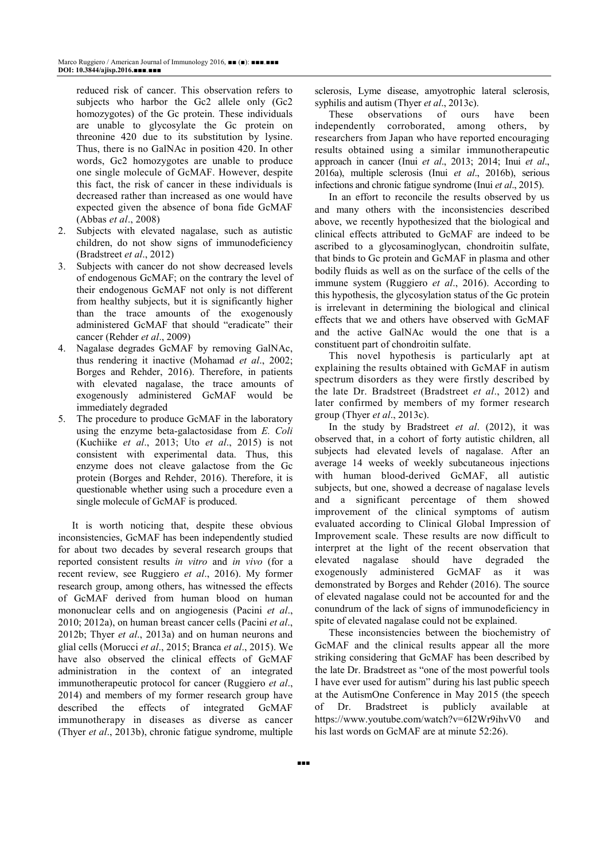reduced risk of cancer. This observation refers to subjects who harbor the Gc2 allele only (Gc2 homozygotes) of the Gc protein. These individuals are unable to glycosylate the Gc protein on threonine 420 due to its substitution by lysine. Thus, there is no GalNAc in position 420. In other words, Gc2 homozygotes are unable to produce one single molecule of GcMAF. However, despite this fact, the risk of cancer in these individuals is decreased rather than increased as one would have expected given the absence of bona fide GcMAF (Abbas *et al*., 2008)

- 2. Subjects with elevated nagalase, such as autistic children, do not show signs of immunodeficiency (Bradstreet *et al*., 2012)
- 3. Subjects with cancer do not show decreased levels of endogenous GcMAF; on the contrary the level of their endogenous GcMAF not only is not different from healthy subjects, but it is significantly higher than the trace amounts of the exogenously administered GcMAF that should "eradicate" their cancer (Rehder *et al*., 2009)
- 4. Nagalase degrades GcMAF by removing GalNAc, thus rendering it inactive (Mohamad *et al*., 2002; Borges and Rehder, 2016). Therefore, in patients with elevated nagalase, the trace amounts of exogenously administered GcMAF would be immediately degraded
- 5. The procedure to produce GcMAF in the laboratory using the enzyme beta-galactosidase from *E. Coli* (Kuchiike *et al*., 2013; Uto *et al*., 2015) is not consistent with experimental data. Thus, this enzyme does not cleave galactose from the Gc protein (Borges and Rehder, 2016). Therefore, it is questionable whether using such a procedure even a single molecule of GcMAF is produced.

It is worth noticing that, despite these obvious inconsistencies, GcMAF has been independently studied for about two decades by several research groups that reported consistent results *in vitro* and *in vivo* (for a recent review, see Ruggiero *et al*., 2016). My former research group, among others, has witnessed the effects of GcMAF derived from human blood on human mononuclear cells and on angiogenesis (Pacini *et al*., 2010; 2012a), on human breast cancer cells (Pacini *et al*., 2012b; Thyer *et al*., 2013a) and on human neurons and glial cells (Morucci *et al*., 2015; Branca *et al*., 2015). We have also observed the clinical effects of GcMAF administration in the context of an integrated immunotherapeutic protocol for cancer (Ruggiero *et al*., 2014) and members of my former research group have described the effects of integrated GcMAF immunotherapy in diseases as diverse as cancer (Thyer *et al*., 2013b), chronic fatigue syndrome, multiple

sclerosis, Lyme disease, amyotrophic lateral sclerosis, syphilis and autism (Thyer *et al*., 2013c).

These observations of ours have been independently corroborated, among others, by researchers from Japan who have reported encouraging results obtained using a similar immunotherapeutic approach in cancer (Inui *et al*., 2013; 2014; Inui *et al*., 2016a), multiple sclerosis (Inui *et al*., 2016b), serious infections and chronic fatigue syndrome (Inui *et al*., 2015).

In an effort to reconcile the results observed by us and many others with the inconsistencies described above, we recently hypothesized that the biological and clinical effects attributed to GcMAF are indeed to be ascribed to a glycosaminoglycan, chondroitin sulfate, that binds to Gc protein and GcMAF in plasma and other bodily fluids as well as on the surface of the cells of the immune system (Ruggiero *et al*., 2016). According to this hypothesis, the glycosylation status of the Gc protein is irrelevant in determining the biological and clinical effects that we and others have observed with GcMAF and the active GalNAc would the one that is a constituent part of chondroitin sulfate.

This novel hypothesis is particularly apt at explaining the results obtained with GcMAF in autism spectrum disorders as they were firstly described by the late Dr. Bradstreet (Bradstreet *et al*., 2012) and later confirmed by members of my former research group (Thyer *et al*., 2013c).

In the study by Bradstreet *et al*. (2012), it was observed that, in a cohort of forty autistic children, all subjects had elevated levels of nagalase. After an average 14 weeks of weekly subcutaneous injections with human blood-derived GcMAF, all autistic subjects, but one, showed a decrease of nagalase levels and a significant percentage of them showed improvement of the clinical symptoms of autism evaluated according to Clinical Global Impression of Improvement scale. These results are now difficult to interpret at the light of the recent observation that elevated nagalase should have degraded the exogenously administered GcMAF as it was demonstrated by Borges and Rehder (2016). The source of elevated nagalase could not be accounted for and the conundrum of the lack of signs of immunodeficiency in spite of elevated nagalase could not be explained.

These inconsistencies between the biochemistry of GcMAF and the clinical results appear all the more striking considering that GcMAF has been described by the late Dr. Bradstreet as "one of the most powerful tools I have ever used for autism" during his last public speech at the AutismOne Conference in May 2015 (the speech of Dr. Bradstreet is publicly available at https://www.youtube.com/watch?v=6I2Wr9ihvV0 and his last words on GcMAF are at minute 52:26).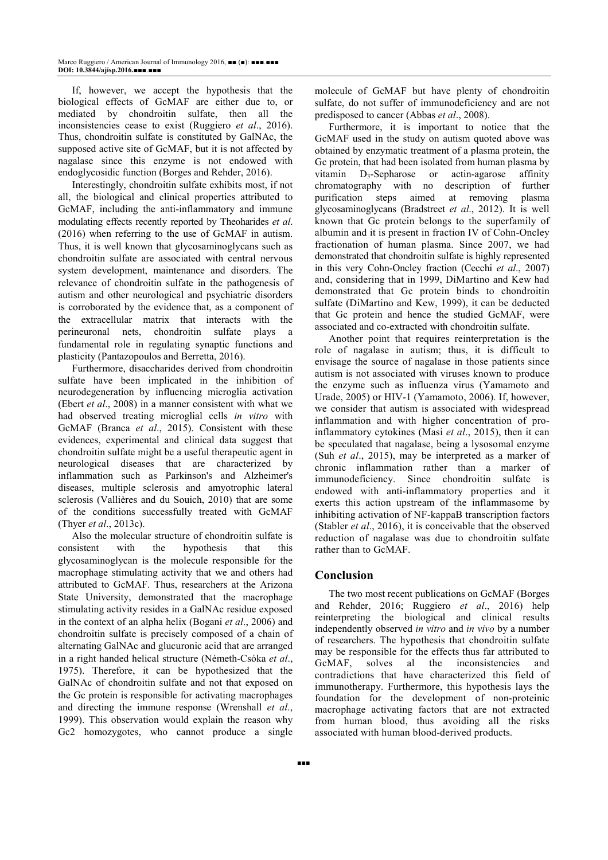If, however, we accept the hypothesis that the biological effects of GcMAF are either due to, or mediated by chondroitin sulfate, then all the inconsistencies cease to exist (Ruggiero *et al*., 2016). Thus, chondroitin sulfate is constituted by GalNAc, the supposed active site of GcMAF, but it is not affected by nagalase since this enzyme is not endowed with endoglycosidic function (Borges and Rehder, 2016).

Interestingly, chondroitin sulfate exhibits most, if not all, the biological and clinical properties attributed to GcMAF, including the anti-inflammatory and immune modulating effects recently reported by Theoharides *et al*. (2016) when referring to the use of GcMAF in autism. Thus, it is well known that glycosaminoglycans such as chondroitin sulfate are associated with central nervous system development, maintenance and disorders. The relevance of chondroitin sulfate in the pathogenesis of autism and other neurological and psychiatric disorders is corroborated by the evidence that, as a component of the extracellular matrix that interacts with the perineuronal nets, chondroitin sulfate plays a fundamental role in regulating synaptic functions and plasticity (Pantazopoulos and Berretta, 2016).

Furthermore, disaccharides derived from chondroitin sulfate have been implicated in the inhibition of neurodegeneration by influencing microglia activation (Ebert *et al*., 2008) in a manner consistent with what we had observed treating microglial cells *in vitro* with GcMAF (Branca *et al*., 2015). Consistent with these evidences, experimental and clinical data suggest that chondroitin sulfate might be a useful therapeutic agent in neurological diseases that are characterized by inflammation such as Parkinson's and Alzheimer's diseases, multiple sclerosis and amyotrophic lateral sclerosis (Vallières and du Souich, 2010) that are some of the conditions successfully treated with GcMAF (Thyer *et al*., 2013c).

Also the molecular structure of chondroitin sulfate is consistent with the hypothesis that this glycosaminoglycan is the molecule responsible for the macrophage stimulating activity that we and others had attributed to GcMAF. Thus, researchers at the Arizona State University, demonstrated that the macrophage stimulating activity resides in a GalNAc residue exposed in the context of an alpha helix (Bogani *et al*., 2006) and chondroitin sulfate is precisely composed of a chain of alternating GalNAc and glucuronic acid that are arranged in a right handed helical structure (Németh-Csóka *et al*., 1975). Therefore, it can be hypothesized that the GalNAc of chondroitin sulfate and not that exposed on the Gc protein is responsible for activating macrophages and directing the immune response (Wrenshall *et al*., 1999). This observation would explain the reason why Gc2 homozygotes, who cannot produce a single

molecule of GcMAF but have plenty of chondroitin sulfate, do not suffer of immunodeficiency and are not predisposed to cancer (Abbas *et al*., 2008).

Furthermore, it is important to notice that the GcMAF used in the study on autism quoted above was obtained by enzymatic treatment of a plasma protein, the Gc protein, that had been isolated from human plasma by vitamin  $D_3$ -Sepharose or actin-agarose affinity chromatography with no description of further purification steps aimed at removing plasma glycosaminoglycans (Bradstreet *et al*., 2012). It is well known that Gc protein belongs to the superfamily of albumin and it is present in fraction IV of Cohn-Oncley fractionation of human plasma. Since 2007, we had demonstrated that chondroitin sulfate is highly represented in this very Cohn-Oncley fraction (Cecchi *et al*., 2007) and, considering that in 1999, DiMartino and Kew had demonstrated that Gc protein binds to chondroitin sulfate (DiMartino and Kew, 1999), it can be deducted that Gc protein and hence the studied GcMAF, were associated and co-extracted with chondroitin sulfate.

Another point that requires reinterpretation is the role of nagalase in autism; thus, it is difficult to envisage the source of nagalase in those patients since autism is not associated with viruses known to produce the enzyme such as influenza virus (Yamamoto and Urade, 2005) or HIV-1 (Yamamoto, 2006). If, however, we consider that autism is associated with widespread inflammation and with higher concentration of proinflammatory cytokines (Masi *et al*., 2015), then it can be speculated that nagalase, being a lysosomal enzyme (Suh *et al*., 2015), may be interpreted as a marker of chronic inflammation rather than a marker of immunodeficiency. Since chondroitin sulfate is endowed with anti-inflammatory properties and it exerts this action upstream of the inflammasome by inhibiting activation of NF-kappaB transcription factors (Stabler *et al*., 2016), it is conceivable that the observed reduction of nagalase was due to chondroitin sulfate rather than to GcMAF.

# **Conclusion**

The two most recent publications on GcMAF (Borges and Rehder, 2016; Ruggiero *et al*., 2016) help reinterpreting the biological and clinical results independently observed *in vitro* and *in vivo* by a number of researchers. The hypothesis that chondroitin sulfate may be responsible for the effects thus far attributed to GcMAF, solves al the inconsistencies and contradictions that have characterized this field of immunotherapy. Furthermore, this hypothesis lays the foundation for the development of non-proteinic macrophage activating factors that are not extracted from human blood, thus avoiding all the risks associated with human blood-derived products.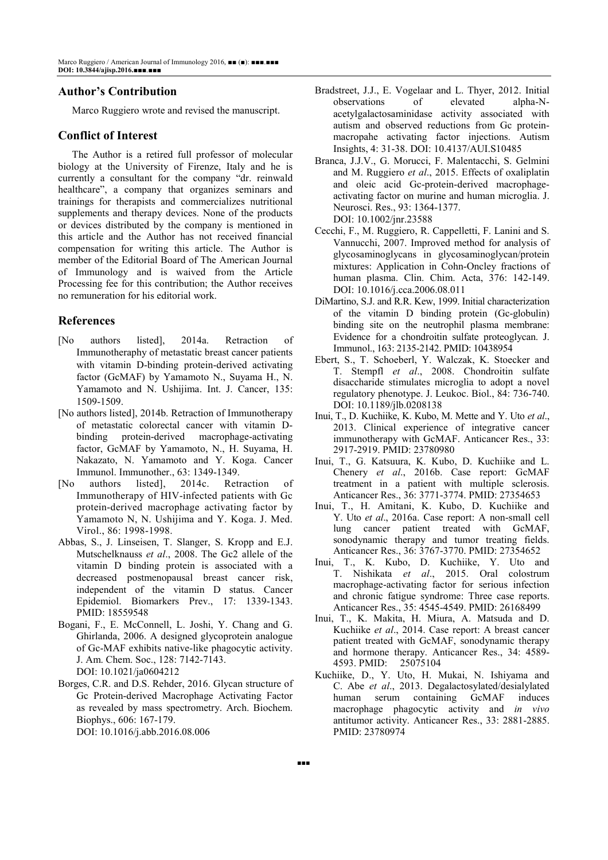# **Author's Contribution**

Marco Ruggiero wrote and revised the manuscript.

### **Conflict of Interest**

The Author is a retired full professor of molecular biology at the University of Firenze, Italy and he is currently a consultant for the company "dr. reinwald healthcare", a company that organizes seminars and trainings for therapists and commercializes nutritional supplements and therapy devices. None of the products or devices distributed by the company is mentioned in this article and the Author has not received financial compensation for writing this article. The Author is member of the Editorial Board of The American Journal of Immunology and is waived from the Article Processing fee for this contribution; the Author receives no remuneration for his editorial work.

#### **References**

- [No authors listed], 2014a. Retraction of Immunotheraphy of metastatic breast cancer patients with vitamin D-binding protein-derived activating factor (GcMAF) by Yamamoto N., Suyama H., N. Yamamoto and N. Ushijima. Int. J. Cancer, 135: 1509-1509.
- [No authors listed], 2014b. Retraction of Immunotherapy of metastatic colorectal cancer with vitamin Dbinding protein-derived macrophage-activating factor, GcMAF by Yamamoto, N., H. Suyama, H. Nakazato, N. Yamamoto and Y. Koga. Cancer Immunol. Immunother., 63: 1349-1349.
- [No authors listed], 2014c. Retraction of Immunotherapy of HIV-infected patients with Gc protein-derived macrophage activating factor by Yamamoto N, N. Ushijima and Y. Koga. J. Med. Virol., 86: 1998-1998.
- Abbas, S., J. Linseisen, T. Slanger, S. Kropp and E.J. Mutschelknauss *et al*., 2008. The Gc2 allele of the vitamin D binding protein is associated with a decreased postmenopausal breast cancer risk, independent of the vitamin D status. Cancer Epidemiol. Biomarkers Prev., 17: 1339-1343. PMID: 18559548
- Bogani, F., E. McConnell, L. Joshi, Y. Chang and G. Ghirlanda, 2006. A designed glycoprotein analogue of Gc-MAF exhibits native-like phagocytic activity. J. Am. Chem. Soc., 128: 7142-7143. DOI: 10.1021/ja0604212
- Borges, C.R. and D.S. Rehder, 2016. Glycan structure of Gc Protein-derived Macrophage Activating Factor as revealed by mass spectrometry. Arch. Biochem. Biophys., 606: 167-179. DOI: 10.1016/j.abb.2016.08.006
- Bradstreet, J.J., E. Vogelaar and L. Thyer, 2012. Initial observations of elevated alpha-Nacetylgalactosaminidase activity associated with autism and observed reductions from Gc proteinmacropahe activating factor injections. Autism Insights, 4: 31-38. DOI: 10.4137/AUI.S10485
- Branca, J.J.V., G. Morucci, F. Malentacchi, S. Gelmini and M. Ruggiero *et al*., 2015. Effects of oxaliplatin and oleic acid Gc-protein-derived macrophageactivating factor on murine and human microglia. J. Neurosci. Res., 93: 1364-1377. DOI: 10.1002/jnr.23588
- Cecchi, F., M. Ruggiero, R. Cappelletti, F. Lanini and S. Vannucchi, 2007. Improved method for analysis of glycosaminoglycans in glycosaminoglycan/protein mixtures: Application in Cohn-Oncley fractions of human plasma. Clin. Chim. Acta, 376: 142-149. DOI: 10.1016/j.cca.2006.08.011
- DiMartino, S.J. and R.R. Kew, 1999. Initial characterization of the vitamin D binding protein (Gc-globulin) binding site on the neutrophil plasma membrane: Evidence for a chondroitin sulfate proteoglycan. J. Immunol., 163: 2135-2142. PMID: 10438954
- Ebert, S., T. Schoeberl, Y. Walczak, K. Stoecker and T. Stempfl *et al*., 2008. Chondroitin sulfate disaccharide stimulates microglia to adopt a novel regulatory phenotype. J. Leukoc. Biol., 84: 736-740. DOI: 10.1189/jlb.0208138
- Inui, T., D. Kuchiike, K. Kubo, M. Mette and Y. Uto *et al*., 2013. Clinical experience of integrative cancer immunotherapy with GcMAF. Anticancer Res., 33: 2917-2919. PMID: 23780980
- Inui, T., G. Katsuura, K. Kubo, D. Kuchiike and L. Chenery *et al*., 2016b. Case report: GcMAF treatment in a patient with multiple sclerosis. Anticancer Res., 36: 3771-3774. PMID: 27354653
- Inui, T., H. Amitani, K. Kubo, D. Kuchiike and Y. Uto *et al*., 2016a. Case report: A non-small cell lung cancer patient treated with GcMAF, sonodynamic therapy and tumor treating fields. Anticancer Res., 36: 3767-3770. PMID: 27354652
- Inui, T., K. Kubo, D. Kuchiike, Y. Uto and T. Nishikata *et al*., 2015. Oral colostrum macrophage-activating factor for serious infection and chronic fatigue syndrome: Three case reports. Anticancer Res., 35: 4545-4549. PMID: 26168499
- Inui, T., K. Makita, H. Miura, A. Matsuda and D. Kuchiike *et al*., 2014. Case report: A breast cancer patient treated with GcMAF, sonodynamic therapy and hormone therapy. Anticancer Res., 34: 4589- 4593. PMID: 25075104
- Kuchiike, D., Y. Uto, H. Mukai, N. Ishiyama and C. Abe *et al*., 2013. Degalactosylated/desialylated human serum containing GcMAF induces macrophage phagocytic activity and *in vivo* antitumor activity. Anticancer Res., 33: 2881-2885. PMID: 23780974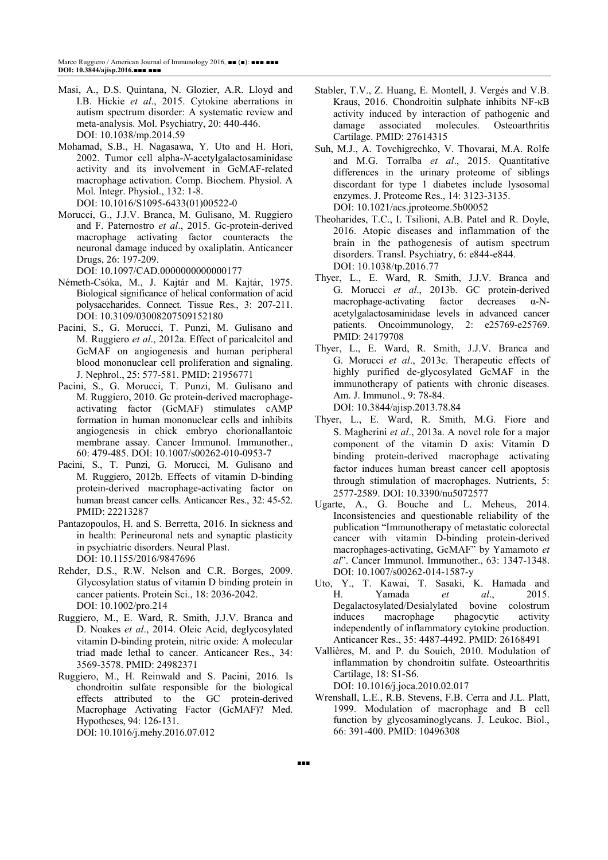- Masi, A., D.S. Quintana, N. Glozier, A.R. Lloyd and I.B. Hickie *et al*., 2015. Cytokine aberrations in autism spectrum disorder: A systematic review and meta-analysis. Mol. Psychiatry, 20: 440-446. DOI: 10.1038/mp.2014.59
- Mohamad, S.B., H. Nagasawa, Y. Uto and H. Hori, 2002. Tumor cell alpha-*N*-acetylgalactosaminidase activity and its involvement in GcMAF-related macrophage activation. Comp. Biochem. Physiol. A Mol. Integr. Physiol., 132: 1-8. DOI: 10.1016/S1095-6433(01)00522-0
- Morucci, G., J.J.V. Branca, M. Gulisano, M. Ruggiero and F. Paternostro *et al*., 2015. Gc-protein-derived macrophage activating factor counteracts the neuronal damage induced by oxaliplatin. Anticancer Drugs, 26: 197-209.
- DOI: 10.1097/CAD.0000000000000177
- Németh-Csóka, M., J. Kajtár and M. Kajtár, 1975. Biological significance of helical conformation of acid polysaccharides. Connect. Tissue Res., 3: 207-211. DOI: 10.3109/03008207509152180
- Pacini, S., G. Morucci, T. Punzi, M. Gulisano and M. Ruggiero *et al*., 2012a. Effect of paricalcitol and GcMAF on angiogenesis and human peripheral blood mononuclear cell proliferation and signaling. J. Nephrol., 25: 577-581. PMID: 21956771
- Pacini, S., G. Morucci, T. Punzi, M. Gulisano and M. Ruggiero, 2010. Gc protein-derived macrophageactivating factor (GcMAF) stimulates cAMP formation in human mononuclear cells and inhibits angiogenesis in chick embryo chorionallantoic membrane assay. Cancer Immunol. Immunother., 60: 479-485. DOI: 10.1007/s00262-010-0953-7
- Pacini, S., T. Punzi, G. Morucci, M. Gulisano and M. Ruggiero, 2012b. Effects of vitamin D-binding protein-derived macrophage-activating factor on human breast cancer cells. Anticancer Res., 32: 45-52. PMID: 22213287
- Pantazopoulos, H. and S. Berretta, 2016. In sickness and in health: Perineuronal nets and synaptic plasticity in psychiatric disorders. Neural Plast. DOI: 10.1155/2016/9847696
- Rehder, D.S., R.W. Nelson and C.R. Borges, 2009. Glycosylation status of vitamin D binding protein in cancer patients. Protein Sci., 18: 2036-2042. DOI: 10.1002/pro.214
- Ruggiero, M., E. Ward, R. Smith, J.J.V. Branca and D. Noakes *et al*., 2014. Oleic Acid, deglycosylated vitamin D-binding protein, nitric oxide: A molecular triad made lethal to cancer. Anticancer Res., 34: 3569-3578. PMID: 24982371
- Ruggiero, M., H. Reinwald and S. Pacini, 2016. Is chondroitin sulfate responsible for the biological effects attributed to the GC protein-derived Macrophage Activating Factor (GcMAF)? Med. Hypotheses, 94: 126-131. DOI: 10.1016/j.mehy.2016.07.012
- Stabler, T.V., Z. Huang, E. Montell, J. Vergés and V.B. Kraus, 2016. Chondroitin sulphate inhibits NF-κB activity induced by interaction of pathogenic and damage associated molecules. Osteoarthritis Cartilage. PMID: 27614315
- Suh, M.J., A. Tovchigrechko, V. Thovarai, M.A. Rolfe and M.G. Torralba *et al*., 2015. Quantitative differences in the urinary proteome of siblings discordant for type 1 diabetes include lysosomal enzymes. J. Proteome Res., 14: 3123-3135. DOI: 10.1021/acs.jproteome.5b00052
- Theoharides, T.C., I. Tsilioni, A.B. Patel and R. Doyle, 2016. Atopic diseases and inflammation of the brain in the pathogenesis of autism spectrum disorders. Transl. Psychiatry, 6: e844-e844. DOI: 10.1038/tp.2016.77
- Thyer, L., E. Ward, R. Smith, J.J.V. Branca and G. Morucci *et al*., 2013b. GC protein-derived macrophage-activating factor decreases α-Nacetylgalactosaminidase levels in advanced cancer patients. Oncoimmunology, 2: e25769-e25769. PMID: 24179708
- Thyer, L., E. Ward, R. Smith, J.J.V. Branca and G. Morucci *et al*., 2013c. Therapeutic effects of highly purified de-glycosylated GcMAF in the immunotherapy of patients with chronic diseases. Am. J. Immunol., 9: 78-84. DOI: 10.3844/ajisp.2013.78.84
- Thyer, L., E. Ward, R. Smith, M.G. Fiore and S. Magherini *et al*., 2013a. A novel role for a major component of the vitamin D axis: Vitamin D binding protein-derived macrophage activating factor induces human breast cancer cell apoptosis through stimulation of macrophages. Nutrients, 5: 2577-2589. DOI: 10.3390/nu5072577
- Ugarte, A., G. Bouche and L. Meheus, 2014. Inconsistencies and questionable reliability of the publication "Immunotherapy of metastatic colorectal cancer with vitamin D-binding protein-derived macrophages-activating, GcMAF" by Yamamoto *et al*". Cancer Immunol. Immunother., 63: 1347-1348. DOI: 10.1007/s00262-014-1587-y
- Uto, Y., T. Kawai, T. Sasaki, K. Hamada and H. Yamada *et al*., 2015. Degalactosylated/Desialylated bovine colostrum induces macrophage phagocytic activity independently of inflammatory cytokine production. Anticancer Res., 35: 4487-4492. PMID: 26168491
- Vallières, M. and P. du Souich, 2010. Modulation of inflammation by chondroitin sulfate. Osteoarthritis Cartilage, 18: S1-S6. DOI: 10.1016/j.joca.2010.02.017
- Wrenshall, L.E., R.B. Stevens, F.B. Cerra and J.L. Platt, 1999. Modulation of macrophage and B cell function by glycosaminoglycans. J. Leukoc. Biol., 66: 391-400. PMID: 10496308